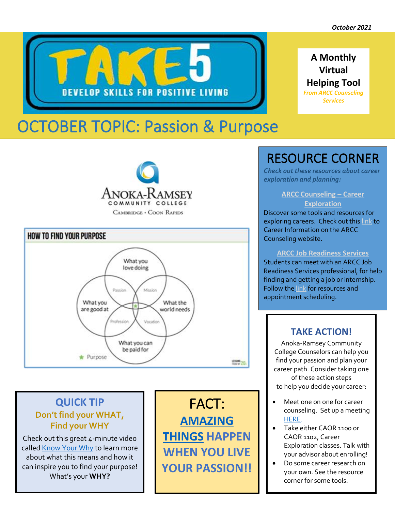

# OCTOBER TOPIC: Passion & Purpose

**DEVELOP SKILLS FOR POSITIVE LIVING** 





### **QUICK TIP Don't find your WHAT, Find your WHY**

Check out this great 4-minute video called [Know Your Why](https://www.youtube.com/watch?v=1ytFB8TrkTo) to learn more about what this means and how it can inspire you to find your purpose! What's your **WHY?**

FACT: **[AMAZING](https://www.lifehack.org/813311/live-your-passion)  [THINGS](https://www.lifehack.org/813311/live-your-passion) HAPPEN WHEN YOU LIVE YOUR PASSION!!**

## RESOURCE CORNER

*Check out these resources about career exploration and planning:*

#### **[ARCC Counseling](https://www.anokaramsey.edu/resources/counseling-services/career-information/) – Career [Exploration](https://www.anokaramsey.edu/resources/counseling-services/career-information/)**

Discover some tools and resources for exploring careers. Check out thi[s link](https://www.anokaramsey.edu/resources/counseling-services/career-information/) to Career Information on the ARCC Counseling website.

#### **[ARCC Job Readiness Services](https://www.anokaramsey.edu/resources/job-readiness-services/job-search-assistance-resources/)**

Students can meet with an ARCC Job Readiness Services professional, for help finding and getting a job or internship. Follow the [link](https://www.anokaramsey.edu/resources/job-readiness-services/job-search-assistance-resources/) for resources and appointment scheduling.

### **TAKE ACTION!**

Anoka-Ramsey Community College Counselors can help you find your passion and plan your career path. Consider taking one of these action steps to help you decide your career:

- Meet one on one for career counseling. Set up a meeting [HERE.](https://www.anokaramsey.edu/resources/counseling-services/career-counseling/)
- Take either CAOR 1100 or CAOR 1102, Career Exploration classes. Talk with your advisor about enrolling!
- Do some career research on your own. See the resource corner for some tools.